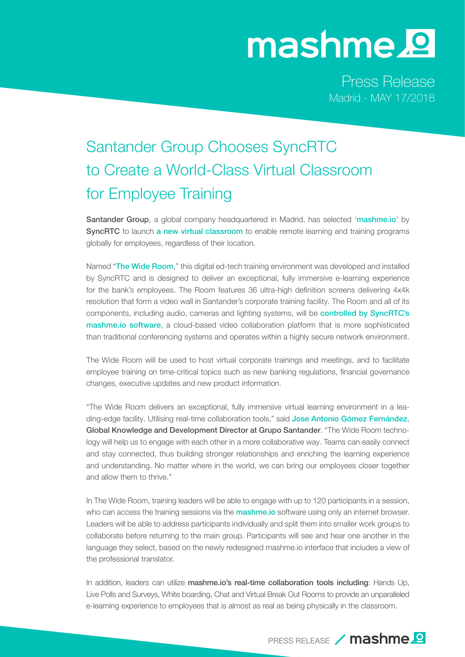## mashme.<sup>o</sup>

Press Release Madrid - MAY 17/2018

## Santander Group Chooses SyncRTC to Create a World-Class Virtual Classroom for Employee Training

Santander Group, a global company headquartered in Madrid, has selected '[mashme.io](http://www.mashme.io)' by SyncRTC to launch a new virtual classroom to enable remote learning and training programs globally for employees, regardless of their location.

Named "The Wide Room," this digital ed-tech training environment was developed and installed by SyncRTC and is designed to deliver an exceptional, fully immersive e-learning experience for the bank's employees. The Room features 36 ultra-high definition screens delivering 4x4k resolution that form a video wall in Santander's corporate training facility. The Room and all of its components, including audio, cameras and lighting systems, will be controlled by SyncRTC's [mashme.io software](http://www.mashme.io), a cloud-based video collaboration platform that is more sophisticated than traditional conferencing systems and operates within a highly secure network environment.

The Wide Room will be used to host virtual corporate trainings and meetings, and to facilitate employee training on time-critical topics such as new banking regulations, financial governance changes, executive updates and new product information.

"The Wide Room delivers an exceptional, fully immersive virtual learning environment in a leading-edge facility. Utilising real-time collaboration tools," said Jose Antonio Gómez Fernández, Global Knowledge and Development Director at Grupo Santander. "The Wide Room technology will help us to engage with each other in a more collaborative way. Teams can easily connect and stay connected, thus building stronger relationships and enriching the learning experience and understanding. No matter where in the world, we can bring our employees closer together and allow them to thrive."

In The Wide Room, training leaders will be able to engage with up to 120 participants in a session, who can access the training sessions via the **[mashme.io](http://www.mashme.io)** software using only an internet browser. Leaders will be able to address participants individually and split them into smaller work groups to collaborate before returning to the main group. Participants will see and hear one another in the language they select, based on the newly redesigned mashme.io interface that includes a view of the professional translator.

In addition, leaders can utilize mashme.io's real-time collaboration tools including: Hands Up, Live Polls and Surveys, White boarding, Chat and Virtual Break Out Rooms to provide an unparalleled e-learning experience to employees that is almost as real as being physically in the classroom.